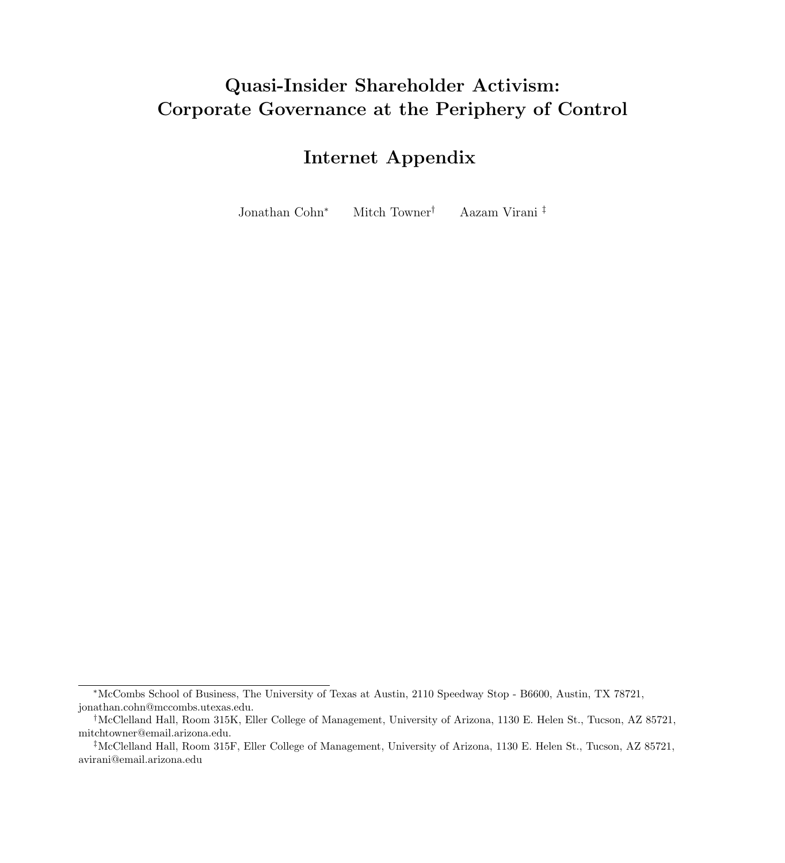# Quasi-Insider Shareholder Activism: Corporate Governance at the Periphery of Control

## Internet Appendix

Jonathan Cohn<sup>∗</sup> Mitch Towner† Aazam Virani ‡

<sup>∗</sup>McCombs School of Business, The University of Texas at Austin, 2110 Speedway Stop - B6600, Austin, TX 78721, jonathan.cohn@mccombs.utexas.edu.

<sup>†</sup>McClelland Hall, Room 315K, Eller College of Management, University of Arizona, 1130 E. Helen St., Tucson, AZ 85721, mitchtowner@email.arizona.edu.

<sup>‡</sup>McClelland Hall, Room 315F, Eller College of Management, University of Arizona, 1130 E. Helen St., Tucson, AZ 85721, avirani@email.arizona.edu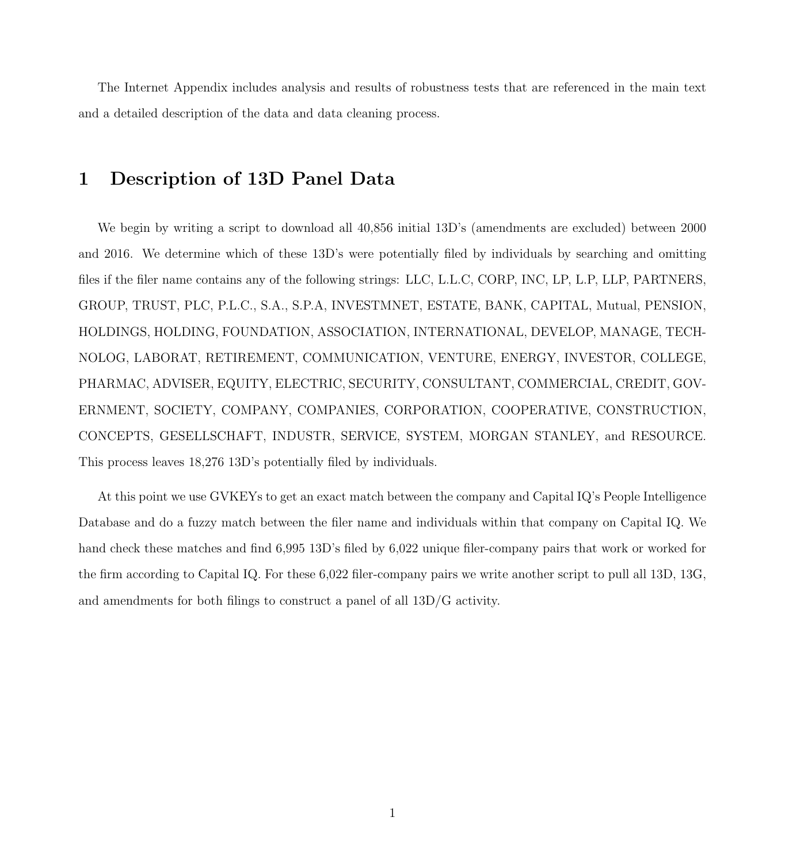The Internet Appendix includes analysis and results of robustness tests that are referenced in the main text and a detailed description of the data and data cleaning process.

## 1 Description of 13D Panel Data

We begin by writing a script to download all 40,856 initial 13D's (amendments are excluded) between 2000 and 2016. We determine which of these 13D's were potentially filed by individuals by searching and omitting files if the filer name contains any of the following strings: LLC, L.L.C, CORP, INC, LP, L.P, LLP, PARTNERS, GROUP, TRUST, PLC, P.L.C., S.A., S.P.A, INVESTMNET, ESTATE, BANK, CAPITAL, Mutual, PENSION, HOLDINGS, HOLDING, FOUNDATION, ASSOCIATION, INTERNATIONAL, DEVELOP, MANAGE, TECH-NOLOG, LABORAT, RETIREMENT, COMMUNICATION, VENTURE, ENERGY, INVESTOR, COLLEGE, PHARMAC, ADVISER, EQUITY, ELECTRIC, SECURITY, CONSULTANT, COMMERCIAL, CREDIT, GOV-ERNMENT, SOCIETY, COMPANY, COMPANIES, CORPORATION, COOPERATIVE, CONSTRUCTION, CONCEPTS, GESELLSCHAFT, INDUSTR, SERVICE, SYSTEM, MORGAN STANLEY, and RESOURCE. This process leaves 18,276 13D's potentially filed by individuals.

At this point we use GVKEYs to get an exact match between the company and Capital IQ's People Intelligence Database and do a fuzzy match between the filer name and individuals within that company on Capital IQ. We hand check these matches and find 6,995 13D's filed by 6,022 unique filer-company pairs that work or worked for the firm according to Capital IQ. For these 6,022 filer-company pairs we write another script to pull all 13D, 13G, and amendments for both filings to construct a panel of all 13D/G activity.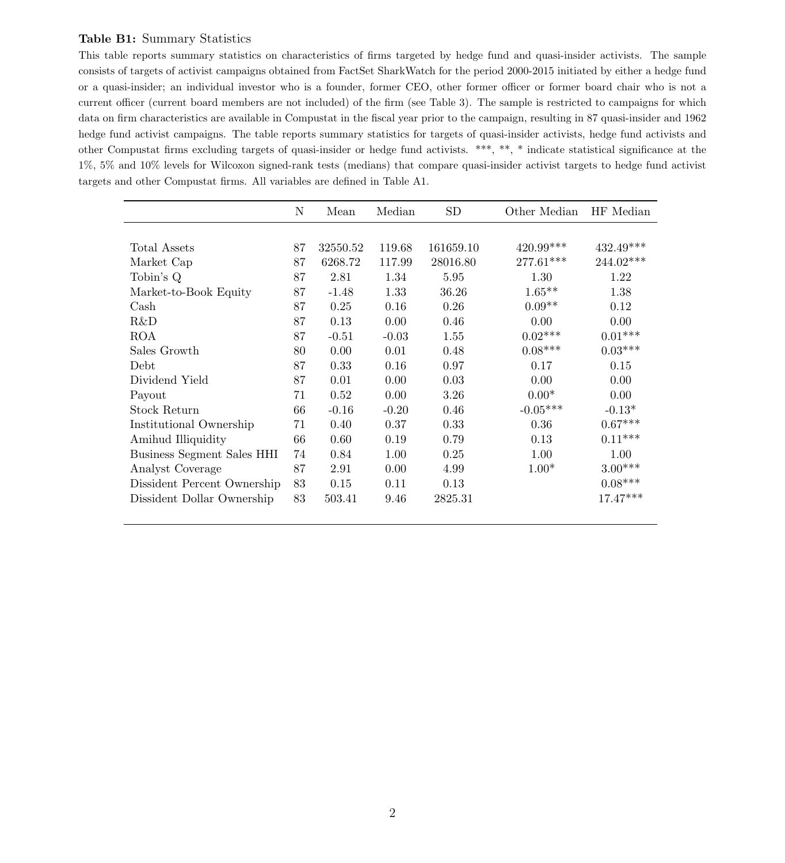## Table B1: Summary Statistics

This table reports summary statistics on characteristics of firms targeted by hedge fund and quasi-insider activists. The sample consists of targets of activist campaigns obtained from FactSet SharkWatch for the period 2000-2015 initiated by either a hedge fund or a quasi-insider; an individual investor who is a founder, former CEO, other former officer or former board chair who is not a current officer (current board members are not included) of the firm (see Table 3). The sample is restricted to campaigns for which data on firm characteristics are available in Compustat in the fiscal year prior to the campaign, resulting in 87 quasi-insider and 1962 hedge fund activist campaigns. The table reports summary statistics for targets of quasi-insider activists, hedge fund activists and other Compustat firms excluding targets of quasi-insider or hedge fund activists. \*\*\*, \*\*, \* indicate statistical significance at the 1%, 5% and 10% levels for Wilcoxon signed-rank tests (medians) that compare quasi-insider activist targets to hedge fund activist targets and other Compustat firms. All variables are defined in Table A1.

|                                   | N  | Mean     | Median  | <b>SD</b> | Other Median | HF Median  |
|-----------------------------------|----|----------|---------|-----------|--------------|------------|
|                                   |    |          |         |           |              |            |
| Total Assets                      | 87 | 32550.52 | 119.68  | 161659.10 | $420.99***$  | 432.49***  |
| Market Cap                        | 87 | 6268.72  | 117.99  | 28016.80  | $277.61***$  | 244.02***  |
| Tobin's Q                         | 87 | 2.81     | 1.34    | 5.95      | 1.30         | 1.22       |
| Market-to-Book Equity             | 87 | $-1.48$  | 1.33    | 36.26     | $1.65***$    | 1.38       |
| $\operatorname{Cash}$             | 87 | 0.25     | 0.16    | 0.26      | $0.09**$     | 0.12       |
| R&D                               | 87 | 0.13     | 0.00    | 0.46      | 0.00         | 0.00       |
| <b>ROA</b>                        | 87 | $-0.51$  | $-0.03$ | 1.55      | $0.02***$    | $0.01***$  |
| Sales Growth                      | 80 | 0.00     | 0.01    | 0.48      | $0.08***$    | $0.03***$  |
| Debt                              | 87 | 0.33     | 0.16    | 0.97      | 0.17         | 0.15       |
| Dividend Yield                    | 87 | 0.01     | 0.00    | 0.03      | 0.00         | 0.00       |
| Payout                            | 71 | 0.52     | 0.00    | 3.26      | $0.00*$      | 0.00       |
| Stock Return                      | 66 | $-0.16$  | $-0.20$ | 0.46      | $-0.05***$   | $-0.13*$   |
| Institutional Ownership           | 71 | 0.40     | 0.37    | 0.33      | 0.36         | $0.67***$  |
| Amihud Illiquidity                | 66 | 0.60     | 0.19    | 0.79      | 0.13         | $0.11***$  |
| <b>Business Segment Sales HHI</b> | 74 | 0.84     | 1.00    | 0.25      | 1.00         | 1.00       |
| Analyst Coverage                  | 87 | 2.91     | 0.00    | 4.99      | $1.00*$      | $3.00***$  |
| Dissident Percent Ownership       | 83 | 0.15     | 0.11    | 0.13      |              | $0.08***$  |
| Dissident Dollar Ownership        | 83 | 503.41   | 9.46    | 2825.31   |              | $17.47***$ |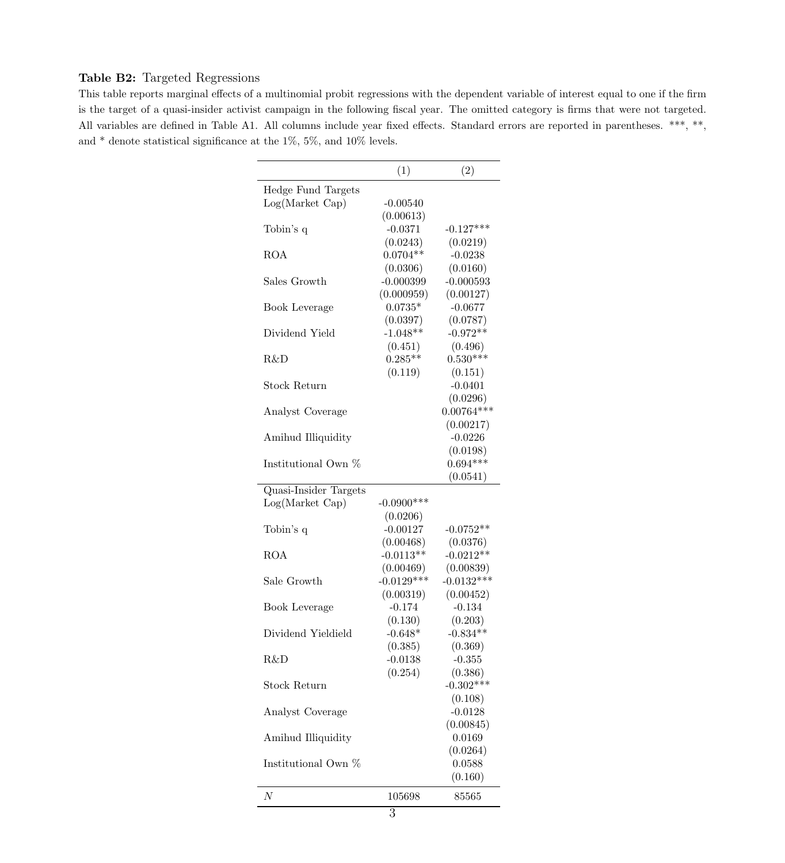## Table B2: Targeted Regressions

This table reports marginal effects of a multinomial probit regressions with the dependent variable of interest equal to one if the firm is the target of a quasi-insider activist campaign in the following fiscal year. The omitted category is firms that were not targeted. All variables are defined in Table A1. All columns include year fixed effects. Standard errors are reported in parentheses. \*\*\*, \*\*, and  $*$  denote statistical significance at the 1%, 5%, and 10% levels.

|                       | (1)           | (2)          |
|-----------------------|---------------|--------------|
| Hedge Fund Targets    |               |              |
| Log(Market Cap)       | $-0.00540$    |              |
|                       | (0.00613)     |              |
| Tobin's q             | $-0.0371$     | $-0.127***$  |
|                       | (0.0243)      | (0.0219)     |
| ROA                   | $0.0704**$    | $-0.0238$    |
|                       | (0.0306)      | (0.0160)     |
| Sales Growth          | $-0.000399$   | $-0.000593$  |
|                       | (0.000959)    | (0.00127)    |
| Book Leverage         | $0.0735*$     | $-0.0677$    |
|                       | (0.0397)      | (0.0787)     |
| Dividend Yield        | $-1.048**$    | $-0.972**$   |
|                       | (0.451)       | (0.496)      |
| R&D                   | $0.285**$     | $0.530***$   |
|                       | (0.119)       | (0.151)      |
| <b>Stock Return</b>   |               | $-0.0401$    |
|                       |               | (0.0296)     |
| Analyst Coverage      |               | $0.00764***$ |
|                       |               | (0.00217)    |
| Amihud Illiquidity    |               | $-0.0226$    |
|                       |               | (0.0198)     |
| Institutional Own %   |               | $0.694***$   |
|                       |               | (0.0541)     |
| Quasi-Insider Targets |               |              |
| Log(Marker Cap)       | $-0.0900$ *** |              |
|                       | (0.0206)      |              |
| Tobin's q             | $-0.00127$    | $-0.0752**$  |
|                       | (0.00468)     | (0.0376)     |
| ROA                   | $-0.0113**$   | $-0.0212**$  |
|                       | (0.00469)     | (0.00839)    |
| Sale Growth           | $-0.0129***$  | $-0.0132***$ |
|                       | (0.00319)     | (0.00452)    |
| Book Leverage         | $-0.174$      | $-0.134$     |
|                       | (0.130)       | (0.203)      |
| Dividend Yieldield    | $-0.648*$     | $-0.834**$   |
|                       | (0.385)       | (0.369)      |
| R&D                   | $-0.0138$     | $-0.355$     |
|                       | (0.254)       | (0.386)      |
| Stock Return          |               | $-0.302***$  |
|                       |               | (0.108)      |
| Analyst Coverage      |               | $-0.0128$    |
|                       |               | (0.00845)    |
| Amihud Illiquidity    |               | 0.0169       |
|                       |               | (0.0264)     |
| Institutional Own %   |               | 0.0588       |
|                       |               | (0.160)      |
|                       |               |              |
| $\boldsymbol{N}$      | 105698        | 85565        |
|                       | $\Omega$      |              |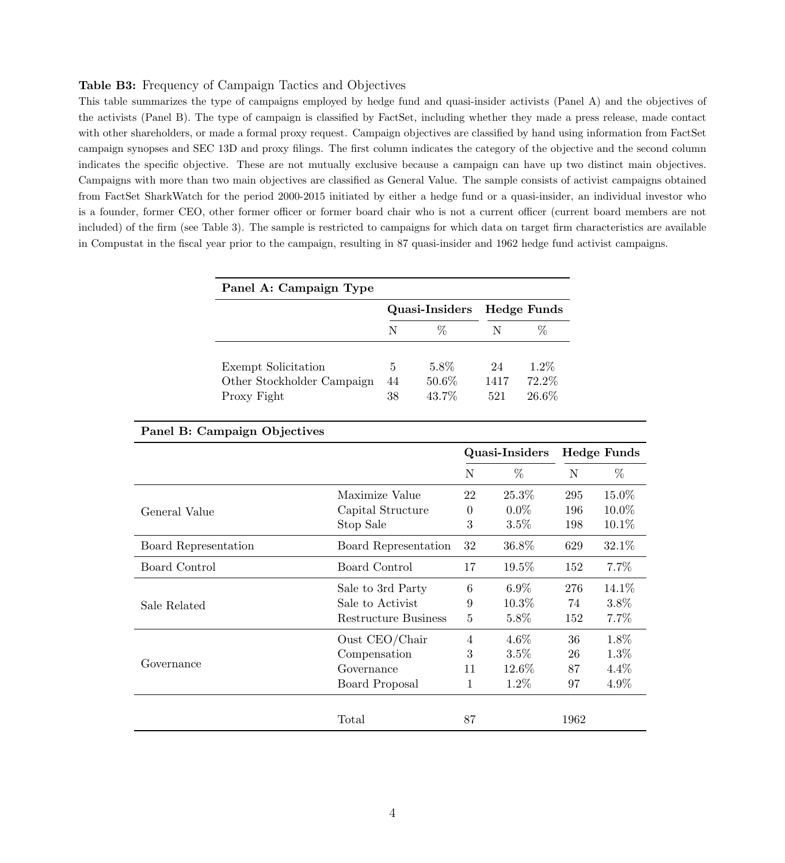### Table B3: Frequency of Campaign Tactics and Objectives

This table summarizes the type of campaigns employed by hedge fund and quasi-insider activists (Panel A) and the objectives of the activists (Panel B). The type of campaign is classified by FactSet, including whether they made a press release, made contact with other shareholders, or made a formal proxy request. Campaign objectives are classified by hand using information from FactSet campaign synopses and SEC 13D and proxy filings. The first column indicates the category of the objective and the second column indicates the specific objective. These are not mutually exclusive because a campaign can have up two distinct main objectives. Campaigns with more than two main objectives are classified as General Value. The sample consists of activist campaigns obtained from FactSet SharkWatch for the period 2000-2015 initiated by either a hedge fund or a quasi-insider, an individual investor who is a founder, former CEO, other former officer or former board chair who is not a current officer (current board members are not included) of the firm (see Table 3). The sample is restricted to campaigns for which data on target firm characteristics are available in Compustat in the fiscal year prior to the campaign, resulting in 87 quasi-insider and 1962 hedge fund activist campaigns.

| Panel A: Campaign Type                    |          |                |             |                    |
|-------------------------------------------|----------|----------------|-------------|--------------------|
|                                           |          | Quasi-Insiders |             | <b>Hedge Funds</b> |
|                                           | N        | $\%$           | N           | ℅                  |
| Exempt Solicitation                       | 5        | 5.8%           | 24          | $1.2\%$            |
| Other Stockholder Campaign<br>Proxy Fight | 44<br>38 | 50.6%<br>43.7% | 1417<br>521 | 72.2%<br>26.6%     |

|                      | Quasi-Insiders |          |      | <b>Hedge Funds</b> |
|----------------------|----------------|----------|------|--------------------|
|                      | N              | $\%$     | N    | %                  |
| Maximize Value       | 22             | 25.3%    | 295  | 15.0%              |
| Capital Structure    | $\theta$       | $0.0\%$  | 196  | 10.0%              |
| Stop Sale            | 3              | $3.5\%$  | 198  | $10.1\%$           |
| Board Representation | 32             | 36.8%    | 629  | 32.1\%             |
| Board Control        | 17             | 19.5%    | 152  | $7.7\%$            |
| Sale to 3rd Party    | 6              | $6.9\%$  | 276  | 14.1%              |
| Sale to Activist     | 9              | $10.3\%$ | 74   | $3.8\%$            |
| Restructure Business | 5              | $5.8\%$  | 152  | 7.7%               |
| Oust $CEO/Chair$     | 4              | $4.6\%$  | 36   | 1.8%               |
| Compensation         | 3              | $3.5\%$  | 26   | $1.3\%$            |
| Governance           | 11             | $12.6\%$ | 87   | $4.4\%$            |
| Board Proposal       | 1              | 1.2%     | 97   | 4.9%               |
| Total                | 87             |          | 1962 |                    |
|                      |                |          |      |                    |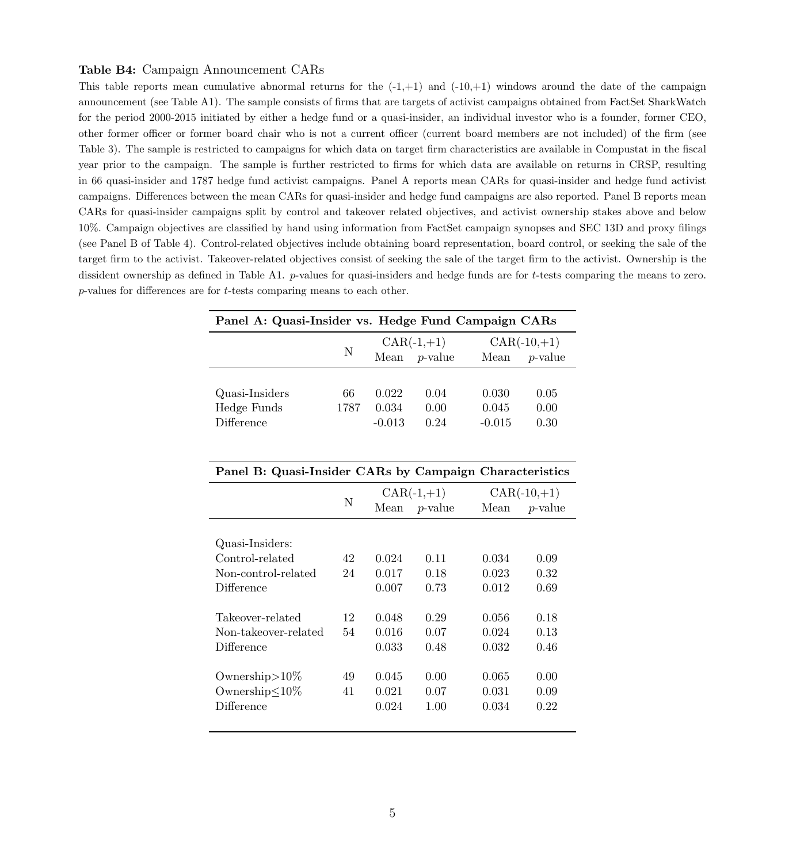#### Table B4: Campaign Announcement CARs

This table reports mean cumulative abnormal returns for the  $(-1,+1)$  and  $(-10,+1)$  windows around the date of the campaign announcement (see Table A1). The sample consists of firms that are targets of activist campaigns obtained from FactSet SharkWatch for the period 2000-2015 initiated by either a hedge fund or a quasi-insider, an individual investor who is a founder, former CEO, other former officer or former board chair who is not a current officer (current board members are not included) of the firm (see Table 3). The sample is restricted to campaigns for which data on target firm characteristics are available in Compustat in the fiscal year prior to the campaign. The sample is further restricted to firms for which data are available on returns in CRSP, resulting in 66 quasi-insider and 1787 hedge fund activist campaigns. Panel A reports mean CARs for quasi-insider and hedge fund activist campaigns. Differences between the mean CARs for quasi-insider and hedge fund campaigns are also reported. Panel B reports mean CARs for quasi-insider campaigns split by control and takeover related objectives, and activist ownership stakes above and below 10%. Campaign objectives are classified by hand using information from FactSet campaign synopses and SEC 13D and proxy filings (see Panel B of Table 4). Control-related objectives include obtaining board representation, board control, or seeking the sale of the target firm to the activist. Takeover-related objectives consist of seeking the sale of the target firm to the activist. Ownership is the dissident ownership as defined in Table A1. p-values for quasi-insiders and hedge funds are for t-tests comparing the means to zero. p-values for differences are for t-tests comparing means to each other.

| Panel A: Quasi-Insider vs. Hedge Fund Campaign CARs     |      |          |                 |          |               |  |
|---------------------------------------------------------|------|----------|-----------------|----------|---------------|--|
|                                                         |      |          | $CAR(-1,+1)$    |          | $CAR(-10,+1)$ |  |
|                                                         | N    | Mean     | <i>p</i> -value | Mean     | $p$ -value    |  |
|                                                         |      |          |                 |          |               |  |
| Quasi-Insiders                                          | 66   | 0.022    | 0.04            | 0.030    | 0.05          |  |
| Hedge Funds                                             | 1787 | 0.034    | 0.00            | 0.045    | 0.00          |  |
| Difference                                              |      | $-0.013$ | 0.24            | $-0.015$ | 0.30          |  |
|                                                         |      |          |                 |          |               |  |
| Panel B: Quasi-Insider CARs by Campaign Characteristics |      |          |                 |          |               |  |
|                                                         |      |          |                 |          |               |  |
|                                                         | N    |          | $CAR(-1,+1)$    |          | $CAR(-10,+1)$ |  |
|                                                         |      | Mean     | $p$ -value      | Mean     | $p$ -value    |  |
|                                                         |      |          |                 |          |               |  |
| Quasi-Insiders:                                         |      |          |                 |          |               |  |
| Control-related                                         | 42   | 0.024    | 0.11            | 0.034    | 0.09          |  |
| Non-control-related                                     | 24   | 0.017    | 0.18            | 0.023    | 0.32          |  |
| Difference                                              |      | 0.007    | 0.73            | 0.012    | 0.69          |  |
| Takeover-related                                        | 12   | 0.048    | 0.29            | 0.056    | 0.18          |  |
| Non-takeover-related                                    | 54   | 0.016    | 0.07            | 0.024    | 0.13          |  |
| Difference                                              |      | 0.033    |                 |          |               |  |
|                                                         |      |          | 0.48            | 0.032    | 0.46          |  |
| Ownership $>10\%$                                       | 49   | 0.045    | 0.00            | 0.065    | 0.00          |  |
| Ownership≤10%                                           | 41   | 0.021    | 0.07            | 0.031    | 0.09          |  |
| Difference                                              |      | 0.024    | 1.00            | 0.034    | 0.22          |  |
|                                                         |      |          |                 |          |               |  |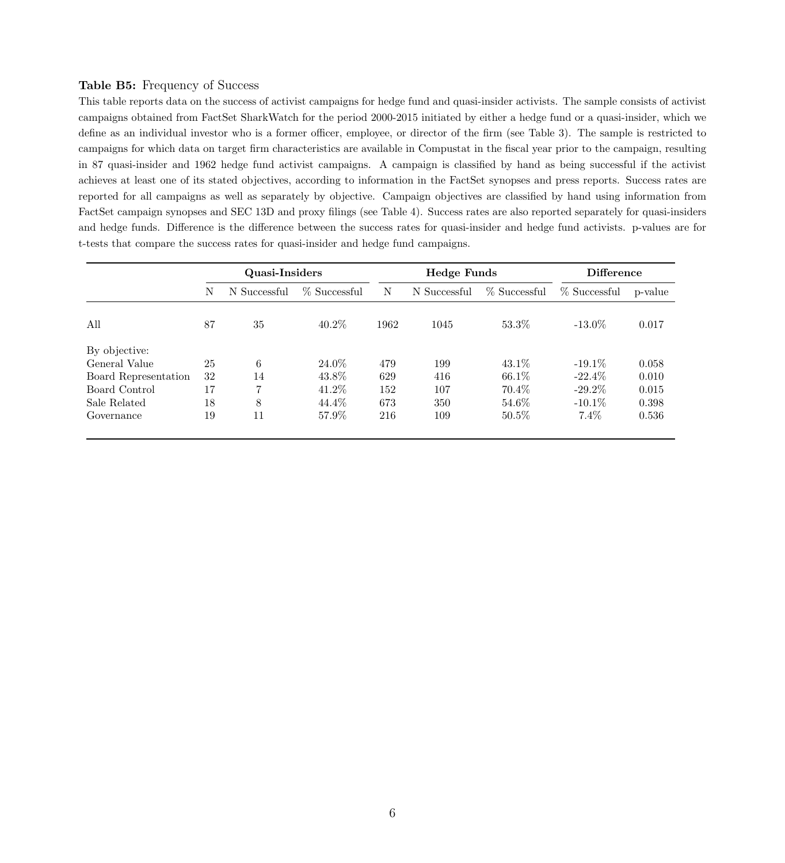### Table B5: Frequency of Success

This table reports data on the success of activist campaigns for hedge fund and quasi-insider activists. The sample consists of activist campaigns obtained from FactSet SharkWatch for the period 2000-2015 initiated by either a hedge fund or a quasi-insider, which we define as an individual investor who is a former officer, employee, or director of the firm (see Table 3). The sample is restricted to campaigns for which data on target firm characteristics are available in Compustat in the fiscal year prior to the campaign, resulting in 87 quasi-insider and 1962 hedge fund activist campaigns. A campaign is classified by hand as being successful if the activist achieves at least one of its stated objectives, according to information in the FactSet synopses and press reports. Success rates are reported for all campaigns as well as separately by objective. Campaign objectives are classified by hand using information from FactSet campaign synopses and SEC 13D and proxy filings (see Table 4). Success rates are also reported separately for quasi-insiders and hedge funds. Difference is the difference between the success rates for quasi-insider and hedge fund activists. p-values are for t-tests that compare the success rates for quasi-insider and hedge fund campaigns.

|                      |    | Quasi-Insiders |              |      | <b>Hedge Funds</b> |              | <b>Difference</b> |         |
|----------------------|----|----------------|--------------|------|--------------------|--------------|-------------------|---------|
|                      | N  | N Successful   | % Successful | N    | N Successful       | % Successful | $%$ Successful    | p-value |
| All                  | 87 | 35             | $40.2\%$     | 1962 | 1045               | 53.3%        | $-13.0\%$         | 0.017   |
| By objective:        |    |                |              |      |                    |              |                   |         |
| General Value        | 25 | 6              | 24.0%        | 479  | 199                | 43.1\%       | $-19.1\%$         | 0.058   |
| Board Representation | 32 | 14             | 43.8%        | 629  | 416                | 66.1\%       | $-22.4\%$         | 0.010   |
| Board Control        | 17 | 7              | 41.2%        | 152  | 107                | 70.4\%       | $-29.2\%$         | 0.015   |
| Sale Related         | 18 | 8              | 44.4\%       | 673  | 350                | 54.6\%       | $-10.1\%$         | 0.398   |
| Governance           | 19 | 11             | 57.9%        | 216  | 109                | $50.5\%$     | $7.4\%$           | 0.536   |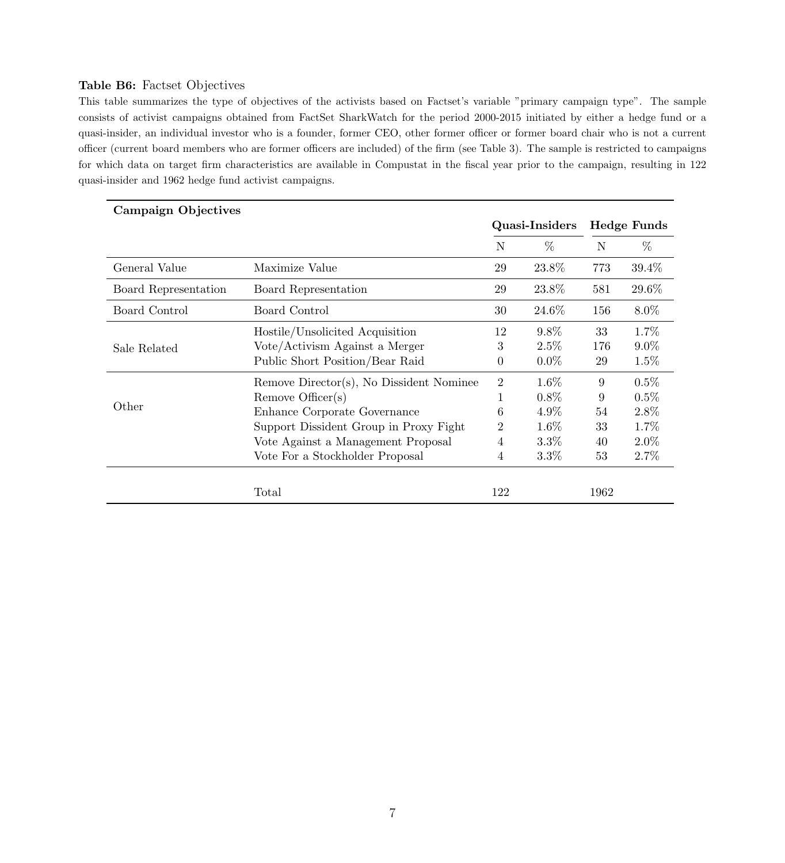## Table B6: Factset Objectives

This table summarizes the type of objectives of the activists based on Factset's variable "primary campaign type". The sample consists of activist campaigns obtained from FactSet SharkWatch for the period 2000-2015 initiated by either a hedge fund or a quasi-insider, an individual investor who is a founder, former CEO, other former officer or former board chair who is not a current officer (current board members who are former officers are included) of the firm (see Table 3). The sample is restricted to campaigns for which data on target firm characteristics are available in Compustat in the fiscal year prior to the campaign, resulting in 122 quasi-insider and 1962 hedge fund activist campaigns.

| Campaign Objectives  |                                          |                |                |                 |                    |
|----------------------|------------------------------------------|----------------|----------------|-----------------|--------------------|
|                      |                                          |                | Quasi-Insiders |                 | <b>Hedge Funds</b> |
|                      |                                          | N              | $\%$           | N               | $\%$               |
| General Value        | Maximize Value                           | 29             | 23.8%          | 773             | 39.4%              |
| Board Representation | Board Representation                     | 29             | 23.8%          | 581             | 29.6%              |
| Board Control        | Board Control                            | 30             | 24.6%          | 156             | $8.0\%$            |
|                      | Hostile/Unsolicited Acquisition          | 12             | $9.8\%$        | 33              | 1.7%               |
| Sale Related         | Vote/Activism Against a Merger           | 3              | 2.5%           | 176             | $9.0\%$            |
|                      | Public Short Position/Bear Raid          | $\theta$       | $0.0\%$        | 29              | 1.5%               |
|                      | Remove Director(s), No Dissident Nominee | $\overline{2}$ | $1.6\%$        | $9\phantom{.0}$ | $0.5\%$            |
|                      | Remove Officer(s)                        | 1              | $0.8\%$        | 9               | 0.5%               |
| Other                | Enhance Corporate Governance             | 6              | 4.9%           | 54              | 2.8%               |
|                      | Support Dissident Group in Proxy Fight   | $\overline{2}$ | 1.6%           | 33              | 1.7%               |
|                      | Vote Against a Management Proposal       | 4              | $3.3\%$        | 40              | $2.0\%$            |
|                      | Vote For a Stockholder Proposal          | 4              | $3.3\%$        | 53              | 2.7%               |
|                      |                                          |                |                |                 |                    |
|                      | Total                                    | 122            |                | 1962            |                    |